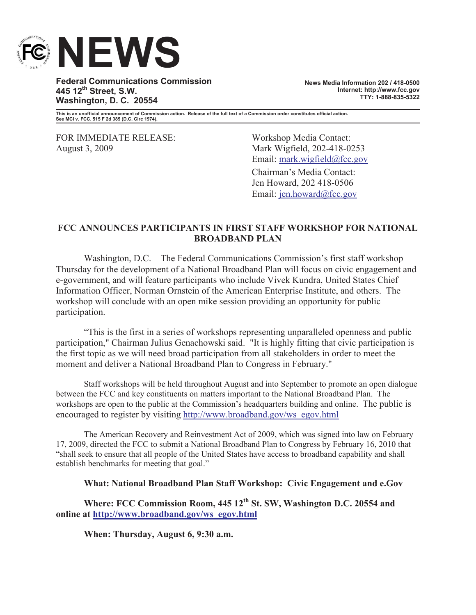

**Federal Communications Commission 445 12th Street, S.W. Washington, D. C. 20554**

**News Media Information 202 / 418-0500 Internet: http://www.fcc.gov TTY: 1-888-835-5322**

**This is an unofficial announcement of Commission action. Release of the full text of a Commission order constitutes official action. See MCI v. FCC. 515 F 2d 385 (D.C. Circ 1974).**

FOR IMMEDIATE RELEASE: Workshop Media Contact: August 3, 2009 Mark Wigfield, 202-418-0253

Email: mark.wigfield@fcc.gov Chairman's Media Contact: Jen Howard, 202 418-0506 Email: jen.howard@fcc.gov

## **FCC ANNOUNCES PARTICIPANTS IN FIRST STAFF WORKSHOP FOR NATIONAL BROADBAND PLAN**

Washington, D.C. – The Federal Communications Commission's first staff workshop Thursday for the development of a National Broadband Plan will focus on civic engagement and e-government, and will feature participants who include Vivek Kundra, United States Chief Information Officer, Norman Ornstein of the American Enterprise Institute, and others. The workshop will conclude with an open mike session providing an opportunity for public participation.

"This is the first in a series of workshops representing unparalleled openness and public participation," Chairman Julius Genachowski said. "It is highly fitting that civic participation is the first topic as we will need broad participation from all stakeholders in order to meet the moment and deliver a National Broadband Plan to Congress in February."

Staff workshops will be held throughout August and into September to promote an open dialogue between the FCC and key constituents on matters important to the National Broadband Plan. The workshops are open to the public at the Commission's headquarters building and online. The public is encouraged to register by visiting http://www.broadband.gov/ws\_egov.html

The American Recovery and Reinvestment Act of 2009, which was signed into law on February 17, 2009, directed the FCC to submit a National Broadband Plan to Congress by February 16, 2010 that "shall seek to ensure that all people of the United States have access to broadband capability and shall establish benchmarks for meeting that goal."

#### **What: National Broadband Plan Staff Workshop: Civic Engagement and e.Gov**

**Where: FCC Commission Room, 445 12th St. SW, Washington D.C. 20554 and online at http://www.broadband.gov/ws\_egov.html**

**When: Thursday, August 6, 9:30 a.m.**